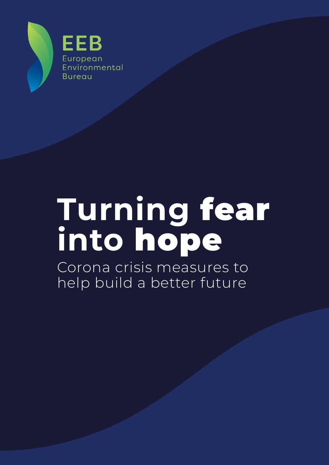

# **Turning** fear **into** hope

Corona crisis measures to help build a better future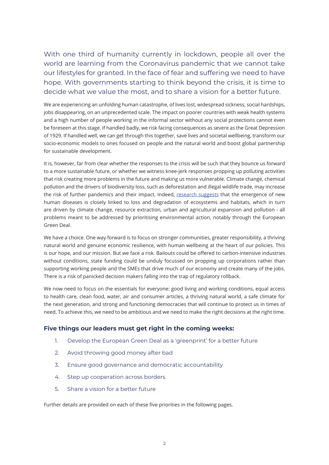With one third of humanity currently in lockdown, people all over the world are learning from the Coronavirus pandemic that we cannot take our lifestyles for granted. In the face of fear and suffering we need to have hope. With governments starting to think beyond the crisis, it is time to decide what we value the most, and to share a vision for a better future.

We are experiencing an unfolding human catastrophe, of lives lost, widespread sickness, social hardships, jobs disappearing, on an unprecedented scale. The impact on poorer countries with weak health systems and a high number of people working in the informal sector without any social protections cannot even be foreseen at this stage. If handled badly, we risk facing consequences as severe as the Great Depression of 1929. If handled well, we can get through this together, save lives and societal wellbeing, transform our socio-economic models to ones focused on people and the natural world and boost global partnership for sustainable development.

It is, however, far from clear whether the responses to the crisis will be such that they bounce us forward to a more sustainable future, or whether we witness knee-jerk responses propping up polluting activities that risk creating more problems in the future and making us more vulnerable. Climate change, chemical pollution and the drivers of biodiversity loss, such as deforestation and illegal wildlife trade, may increase the risk of further pandemics and their impact. Indeed, [research suggests](https://www.nature.com/articles/s41893-019-0293-3#ref-CR101) that the emergence of new human diseases is closely linked to loss and degradation of ecosystems and habitats, which in turn are driven by climate change, resource extraction, urban and agricultural expansion and pollution - all problems meant to be addressed by prioritising environmental action, notably through the European Green Deal.

We have a choice. One way forward is to focus on stronger communities, greater responsibility, a thriving natural world and genuine economic resilience, with human wellbeing at the heart of our policies. This is our hope, and our mission. But we face a risk. Bailouts could be offered to carbon-intensive industries without conditions, state funding could be unduly focussed on propping up corporations rather than supporting working people and the SMEs that drive much of our economy and create many of the jobs. There is a risk of panicked decision makers falling into the trap of regulatory rollback.

We now need to focus on the essentials for everyone: good living and working conditions, equal access to health care, clean food, water, air and consumer articles, a thriving natural world, a safe climate for the next generation, and strong and functioning democracies that will continue to protect us in times of need. To achieve this, we need to be ambitious and we need to make the right decisions at the right time.

#### **Five things our leaders must get right in the coming weeks:**

- 1. Develop the European Green Deal as a 'greenprint' for a better future
- 2. Avoid throwing good money after bad
- 3. Ensure good governance and democratic accountability
- 4. Step up cooperation across borders
- 5. Share a vision for a better future

Further details are provided on each of these five priorities in the following pages.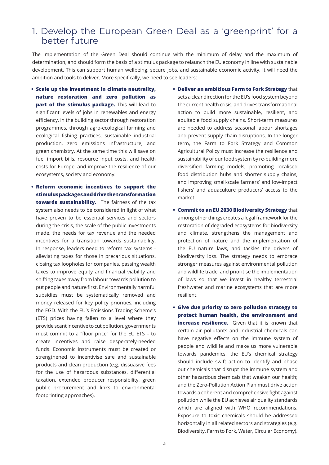#### 1. Develop the European Green Deal as a 'greenprint' for a better future

The implementation of the Green Deal should continue with the minimum of delay and the maximum of determination, and should form the basis of a stimulus package to relaunch the EU economy in line with sustainable development. This can support human wellbeing, secure jobs, and sustainable economic activity. It will need the ambition and tools to deliver. More specifically, we need to see leaders:

- **• Scale up the investment in climate neutrality, nature restoration and zero pollution as part of the stimulus package.** This will lead to significant levels of jobs in renewables and energy efficiency, in the building sector through restoration programmes, through agro-ecological farming and ecological fishing practices, sustainable industrial production, zero emissions infrastructure, and green chemistry. At the same time this will save on fuel import bills, resource input costs, and health costs for Europe, and improve the resilience of our ecosystems, society and economy.
- **• Reform economic incentives to support the stimulus packages and drive the transformation towards sustainability.** The fairness of the tax system also needs to be considered in light of what have proven to be essential services and sectors during the crisis, the scale of the public investments made, the needs for tax revenue and the needed incentives for a transition towards sustainability. In response, leaders need to reform tax systems alleviating taxes for those in precarious situations, closing tax loopholes for companies, passing wealth taxes to improve equity and financial viability and shifting taxes away from labour towards pollution to put people and nature first. Environmentally harmful subsidies must be systematically removed and money released for key policy priorities, including the EGD. With the EU's Emissions Trading Scheme's (ETS) prices having fallen to a level where they provide scant incentive to cut pollution, governments must commit to a "floor price" for the EU ETS – to create incentives and raise desperately-needed funds. Economic instruments must be created or strengthened to incentivise safe and sustainable products and clean production (e.g. dissuasive fees for the use of hazardous substances, differential taxation, extended producer responsibility, green public procurement and links to environmental footprinting approaches).
- **• Deliver an ambitious Farm to Fork Strategy** that sets a clear direction for the EU's food system beyond the current health crisis, and drives transformational action to build more sustainable, resilient, and equitable food supply chains. Short-term measures are needed to address seasonal labour shortages and prevent supply chain disruptions. In the longer term, the Farm to Fork Strategy and Common Agricultural Policy must increase the resilience and sustainability of our food system by re-building more diversified farming models, promoting localised food distribution hubs and shorter supply chains, and improving small-scale farmers' and low-impact fishers' and aquaculture producers' access to the market.
- **• Commit to an EU 2030 Biodiversity Strategy** that among other things creates a legal framework for the restoration of degraded ecosystems for biodiversity and climate, strengthens the management and protection of nature and the implementation of the EU nature laws, and tackles the drivers of biodiversity loss. The strategy needs to embrace stronger measures against environmental pollution and wildlife trade, and prioritise the implementation of laws so that we invest in healthy terrestrial freshwater and marine ecosystems that are more resilient.
- **• Give due priority to zero pollution strategy to protect human health, the environment and increase resilience.** Given that it is known that certain air pollutants and industrial chemicals can have negative effects on the immune system of people and wildlife and make us more vulnerable towards pandemics, the EU's chemical strategy should include swift action to identify and phase out chemicals that disrupt the immune system and other hazardous chemicals that weaken our health; and the Zero-Pollution Action Plan must drive action towards a coherent and comprehensive fight against pollution while the EU achieves air quality standards which are aligned with WHO recommendations. Exposure to toxic chemicals should be addressed horizontally in all related sectors and strategies (e.g. Biodiversity, Farm to Fork, Water, Circular Economy).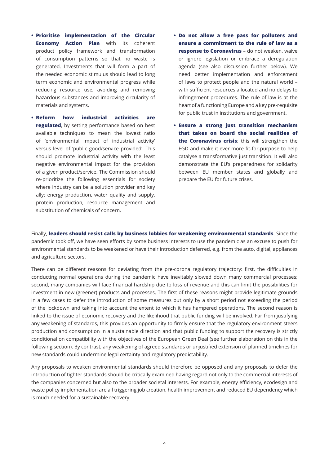- **• Prioritise implementation of the Circular Economy Action Plan** with its coherent product policy framework and transformation of consumption patterns so that no waste is generated. Investments that will form a part of the needed economic stimulus should lead to long term economic and environmental progress while reducing resource use, avoiding and removing hazardous substances and improving circularity of materials and systems.
- **• Reform how industrial activities are regulated**, by setting performance based on best available techniques to mean the lowest ratio of 'environmental impact of industrial activity' versus level of 'public good/service provided'. This should promote industrial activity with the least negative environmental impact for the provision of a given product/service. The Commission should re-prioritize the following essentials for society where industry can be a solution provider and key ally: energy production, water quality and supply, protein production, resource management and substitution of chemicals of concern.
- **• Do not allow a free pass for polluters and ensure a commitment to the rule of law as a response to Coronavirus** – do not weaken, waive or ignore legislation or embrace a deregulation agenda (see also discussion further below). We need better implementation and enforcement of laws to protect people and the natural world – with sufficient resources allocated and no delays to infringement procedures. The rule of law is at the heart of a functioning Europe and a key pre-requisite for public trust in institutions and government.
- **• Ensure a strong just transition mechanism that takes on board the social realities of the Coronavirus crisis**: this will strengthen the EGD and make it ever more fit-for-purpose to help catalyse a transformative just transition. It will also demonstrate the EU's preparedness for solidarity between EU member states and globally and prepare the EU for future crises.

Finally, **leaders should resist calls by business lobbies for weakening environmental standards**. Since the pandemic took off, we have seen efforts by some business interests to use the pandemic as an excuse to push for environmental standards to be weakened or have their introduction deferred, e.g. from the auto, digital, appliances and agriculture sectors.

There can be different reasons for deviating from the pre-corona regulatory trajectory: first, the difficulties in conducting normal operations during the pandemic have inevitably slowed down many commercial processes; second, many companies will face financial hardship due to loss of revenue and this can limit the possibilities for investment in new (greener) products and processes. The first of these reasons might provide legitimate grounds in a few cases to defer the introduction of some measures but only by a short period not exceeding the period of the lockdown and taking into account the extent to which it has hampered operations. The second reason is linked to the issue of economic recovery and the likelihood that public funding will be involved. Far from justifying any weakening of standards, this provides an opportunity to firmly ensure that the regulatory environment steers production and consumption in a sustainable direction and that public funding to support the recovery is strictly conditional on compatibility with the objectives of the European Green Deal (see further elaboration on this in the following section). By contrast, any weakening of agreed standards or unjustified extension of planned timelines for new standards could undermine legal certainty and regulatory predictability.

Any proposals to weaken environmental standards should therefore be opposed and any proposals to defer the introduction of tighter standards should be critically examined having regard not only to the commercial interests of the companies concerned but also to the broader societal interests. For example, energy efficiency, ecodesign and waste policy implementation are all triggering job creation, health improvement and reduced EU dependency which is much needed for a sustainable recovery.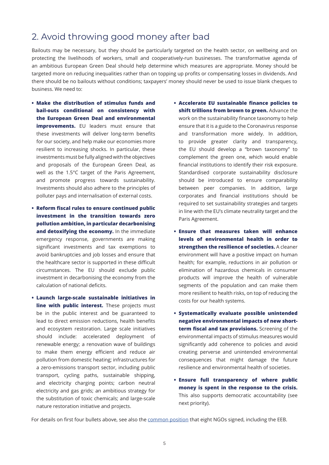## 2. Avoid throwing good money after bad

Bailouts may be necessary, but they should be particularly targeted on the health sector, on wellbeing and on protecting the livelihoods of workers, small and cooperatively-run businesses. The transformative agenda of an ambitious European Green Deal should help determine which measures are appropriate. Money should be targeted more on reducing inequalities rather than on topping up profits or compensating losses in dividends. And there should be no bailouts without conditions; taxpayers' money should never be used to issue blank cheques to business. We need to:

- **• Make the distribution of stimulus funds and bail-outs conditional on consistency with the European Green Deal and environmental improvements.** EU leaders must ensure that these investments will deliver long-term benefits for our society, and help make our economies more resilient to increasing shocks. In particular, these investments must be fully aligned with the objectives and proposals of the European Green Deal, as well as the 1.5°C target of the Paris Agreement, and promote progress towards sustainability. Investments should also adhere to the principles of polluter pays and internalisation of external costs.
- **• Reform fiscal rules to ensure continued public investment in the transition towards zero pollution ambition, in particular decarbonising and detoxifying the economy.** In the immediate emergency response, governments are making significant investments and tax exemptions to avoid bankruptcies and job losses and ensure that the healthcare sector is supported in these difficult circumstances. The EU should exclude public investment in decarbonising the economy from the calculation of national deficits.
- **• Launch large-scale sustainable initiatives in line with public interest.** These projects must be in the public interest and be guaranteed to lead to direct emission reductions, health benefits and ecosystem restoration. Large scale initiatives should include: accelerated deployment of renewable energy; a renovation wave of buildings to make them energy efficient and reduce air pollution from domestic heating; infrastructures for a zero-emissions transport sector, including public transport, cycling paths, sustainable shipping, and electricity charging points; carbon neutral electricity and gas grids; an ambitious strategy for the substitution of toxic chemicals; and large-scale nature restoration initiative and projects.
- **• Accelerate EU sustainable finance policies to shift trillions from brown to green.** Advance the work on the sustainability finance taxonomy to help ensure that it is a guide to the Coronavirus response and transformation more widely. In addition, to provide greater clarity and transparency, the EU should develop a "brown taxonomy" to complement the green one, which would enable financial institutions to identify their risk exposure. Standardised corporate sustainability disclosure should be introduced to ensure comparability between peer companies. In addition, large corporates and financial institutions should be required to set sustainability strategies and targets in line with the EU's climate neutrality target and the Paris Agreement.
- **• Ensure that measures taken will enhance levels of environmental health in order to strengthen the resilience of societies.** A cleaner environment will have a positive impact on human health; for example, reductions in air pollution or elimination of hazardous chemicals in consumer products will improve the health of vulnerable segments of the population and can make them more resilient to health risks, on top of reducing the costs for our health systems.
- **• Systematically evaluate possible unintended negative environmental impacts of new shortterm fiscal and tax provisions.** Screening of the environmental impacts of stimulus measures would significantly add coherence to policies and avoid creating perverse and unintended environmental consequences that might damage the future resilience and environmental health of societies.
- **• Ensure full transparency of where public money is spent in the response to the crisis.** This also supports democratic accountability (see next priority).

For details on first four bullets above, see also the [common position](https://eeb.org/library/covid-19-and-sustainability-ngo-letter-to-the-european-commission/) that eight NGOs signed, including the EEB.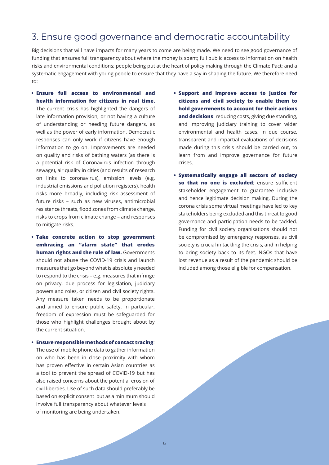## 3. Ensure good governance and democratic accountability

Big decisions that will have impacts for many years to come are being made. We need to see good governance of funding that ensures full transparency about where the money is spent; full public access to information on health risks and environmental conditions; people being put at the heart of policy making through the Climate Pact; and a systematic engagement with young people to ensure that they have a say in shaping the future. We therefore need to:

**• Ensure full access to environmental and health information for citizens in real time.** 

The current crisis has highlighted the dangers of late information provision, or not having a culture of understanding or heeding future dangers, as well as the power of early information. Democratic responses can only work if citizens have enough information to go on. Improvements are needed on quality and risks of bathing waters (as there is a potential risk of Coronavirus infection through sewage), air quality in cities (and results of research on links to coronavirus), emission levels (e.g. industrial emissions and pollution registers), health risks more broadly, including risk assessment of future risks – such as new viruses, antimicrobial resistance threats, flood zones from climate change, risks to crops from climate change – and responses to mitigate risks.

**• Take concrete action to stop government embracing an "alarm state" that erodes human rights and the rule of law.** Governments should not abuse the COVID-19 crisis and launch measures that go beyond what is absolutely needed to respond to the crisis – e.g. measures that infringe on privacy, due process for legislation, judiciary powers and roles, or citizen and civil society rights. Any measure taken needs to be proportionate and aimed to ensure public safety. In particular, freedom of expression must be safeguarded for those who highlight challenges brought about by the current situation.

#### **• Ensure responsible methods of contact tracing**:

The use of mobile phone data to gather information on who has been in close proximity with whom has proven effective in certain Asian countries as a tool to prevent the spread of COVID-19 but has also raised concerns about the potential erosion of civil liberties. Use of such data should preferably be based on explicit consent but as a minimum should involve full transparency about whatever levels of monitoring are being undertaken.

- **• Support and improve access to justice for citizens and civil society to enable them to hold governments to account for their actions and decisions**: reducing costs, giving due standing, and improving judiciary training to cover wider environmental and health cases. In due course, transparent and impartial evaluations of decisions made during this crisis should be carried out, to learn from and improve governance for future crises.
- **• Systematically engage all sectors of society so that no one is excluded:** ensure sufficient stakeholder engagement to guarantee inclusive and hence legitimate decision making. During the corona crisis some virtual meetings have led to key stakeholders being excluded and this threat to good governance and participation needs to be tackled. Funding for civil society organisations should not be compromised by emergency responses, as civil society is crucial in tackling the crisis, and in helping to bring society back to its feet. NGOs that have lost revenue as a result of the pandemic should be included among those eligible for compensation.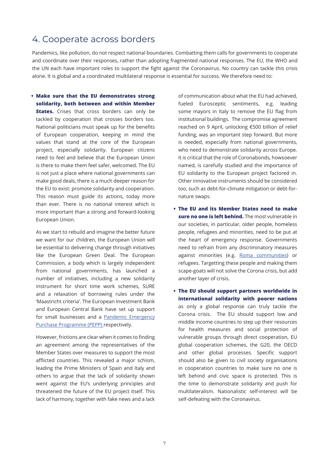## 4. Cooperate across borders

Pandemics, like pollution, do not respect national boundaries. Combatting them calls for governments to cooperate and coordinate over their responses, rather than adopting fragmented national responses. The EU, the WHO and the UN each have important roles to support the fight against the Coronavirus. No country can tackle this crisis alone. It is global and a coordinated multilateral response is essential for success. We therefore need to:

**• Make sure that the EU demonstrates strong solidarity, both between and within Member States.** Crises that cross borders can only be tackled by cooperation that crosses borders too. National politicians must speak up for the benefits of European cooperation, keeping in mind the values that stand at the core of the European project, especially solidarity. European citizens need to feel and believe that the European Union is there to make them feel safer, welcomed. The EU is not just a place where national governments can make good deals, there is a much deeper reason for the EU to exist: promote solidarity and cooperation. This reason must guide its actions, today more than ever. There is no national interest which is more important than a strong and forward-looking European Union.

As we start to rebuild and imagine the better future we want for our children, the European Union will be essential to delivering change through initiatives like the European Green Deal. The European Commission, a body which is largely independent from national governments, has launched a number of initiatives, including a new solidarity instrument for short time work schemes, SURE and a relaxation of borrowing rules under the 'Maastricht criteria'. The European Investment Bank and European Central Bank have set up support for small businesses and a [Pandemic Emergency](https://www.ecb.europa.eu/press/pr/date/2020/html/ecb.pr200318_1~3949d6f266.en.html) [Purchase Programme \(PEPP\) r](https://www.ecb.europa.eu/press/pr/date/2020/html/ecb.pr200318_1~3949d6f266.en.html)espectively.

However, frictions are clear when it comes to finding an agreement among the representatives of the Member States over measures to support the most afflicted countries. This revealed a major schism, leading the Prime Ministers of Spain and Italy and others to argue that the lack of solidarity shown went against the EU's underlying principles and threatened the future of the EU project itself. This lack of harmony, together with fake news and a lack

of communication about what the EU had achieved, fueled Eurosceptic sentiments, e.g. leading some mayors in Italy to remove the EU flag from institutional buildings. The compromise agreement reached on 9 April, unlocking €500 billion of relief funding, was an important step forward. But more is needed, especially from national governments, who need to demonstrate solidarity across Europe. It is critical that the role of Coronabonds, howsoever named, is carefully studied and the importance of EU solidarity to the European project factored in. Other innovative instruments should be considered too, such as debt-for-climate mitigation or debt-fornature swaps.

- **• The EU and its Member States need to make sure no one is left behind.** The most vulnerable in our societies, in particular, older people, homeless people, refugees and minorities, need to be put at the heart of emergency response. Governments need to refrain from any discriminatory measures against minorities (e.g. [Roma communities](https://meta.eeb.org/2020/04/08/environmental-racism-against-roma-in-the-time-of-covid-19/)) or refugees. Targetting these people and making them scape-goats will not solve the Corona crisis, but add another layer of crisis.
- **• The EU should support partners worldwide in international solidarity with poorer nations** as only a global response can truly tackle the Corona crisis. The EU should support low and middle income countries to step up their resources for health measures and social protection of vulnerable groups through direct cooperation, EU global cooperation schemes, the G20, the OECD and other global processes. Specific support should also be given to civil society organisations in cooperation countries to make sure no one is left behind and civic space is protected. This is the time to demonstrate solidarity and push for multilateralism. Nationalistic self-interest will be self-defeating with the Coronavirus.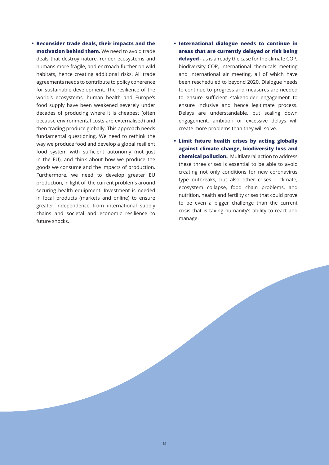- **• Reconsider trade deals, their impacts and the motivation behind them.** We need to avoid trade deals that destroy nature, render ecosystems and humans more fragile, and encroach further on wild habitats, hence creating additional risks. All trade agreements needs to contribute to policy coherence for sustainable development. The resilience of the world's ecosystems, human health and Europe's food supply have been weakened severely under decades of producing where it is cheapest (often because environmental costs are externalised) and then trading produce globally. This approach needs fundamental questioning. We need to rethink the way we produce food and develop a global resilient food system with sufficient autonomy (not just in the EU), and think about how we produce the goods we consume and the impacts of production. Furthermore, we need to develop greater EU production, in light of the current problems around securing health equipment. Investment is needed in local products (markets and online) to ensure greater independence from international supply chains and societal and economic resilience to future shocks.
- **• International dialogue needs to continue in areas that are currently delayed or risk being delayed** - as is already the case for the climate COP, biodiversity COP, international chemicals meeting and international air meeting, all of which have been rescheduled to beyond 2020. Dialogue needs to continue to progress and measures are needed to ensure sufficient stakeholder engagement to ensure inclusive and hence legitimate process. Delays are understandable, but scaling down engagement, ambition or excessive delays will create more problems than they will solve.
- **• Limit future health crises by acting globally against climate change, biodiversity loss and chemical pollution.** Multilateral action to address these three crises is essential to be able to avoid creating not only conditions for new coronavirus type outbreaks, but also other crises – climate, ecosystem collapse, food chain problems, and nutrition, health and fertility crises that could prove to be even a bigger challenge than the current crisis that is taxing humanity's ability to react and manage.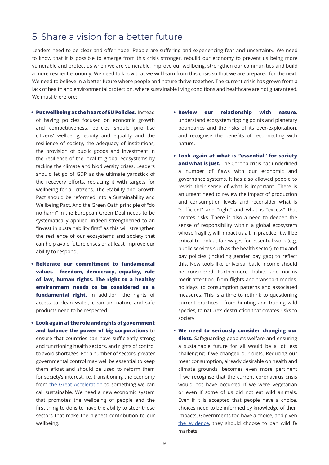### 5. Share a vision for a better future

Leaders need to be clear and offer hope. People are suffering and experiencing fear and uncertainty. We need to know that it is possible to emerge from this crisis stronger, rebuild our economy to prevent us being more vulnerable and protect us when we are vulnerable, improve our wellbeing, strengthen our communities and build a more resilient economy. We need to know that we will learn from this crisis so that we are prepared for the next. We need to believe in a better future where people and nature thrive together. The current crisis has grown from a lack of health and environmental protection, where sustainable living conditions and healthcare are not guaranteed. We must therefore:

- **• Put wellbeing at the heart of EU Policies.** Instead of having policies focused on economic growth and competitiveness, policies should prioritise citizens' wellbeing, equity and equality and the resilience of society, the adequacy of institutions, the provision of public goods and investment in the resilience of the local to global ecosystems by tacking the climate and biodiversity crises. Leaders should let go of GDP as the ultimate yardstick of the recovery efforts, replacing it with targets for wellbeing for all citizens. The Stability and Growth Pact should be reformed into a Sustainability and Wellbeing Pact. And the Green Oath principle of "do no harm" in the European Green Deal needs to be systematically applied, indeed strengthened to an "invest in sustainability first" as this will strengthen the resilience of our ecosystems and society that can help avoid future crises or at least improve our ability to respond.
- **• Reiterate our commitment to fundamental values - freedom, democracy, equality, rule of law, human rights. The right to a healthy environment needs to be considered as a**  fundamental right. In addition, the rights of access to clean water, clean air, nature and safe products need to be respected.
- **• Look again at the role and rights of government and balance the power of big corporations** to ensure that countries can have sufficiently strong and functioning health sectors, and rights of control to avoid shortages. For a number of sectors, greater governmental control may well be essential to keep them afloat and should be used to reform them for society's interest, i.e. transitioning the economy from [the Great Acceleration](https://en.wikipedia.org/wiki/Great_Acceleration) to something we can call sustainable. We need a new economic system that promotes the wellbeing of people and the first thing to do is to have the ability to steer those sectors that make the highest contribution to our wellbeing.
- **• Review our relationship with nature**, understand ecosystem tipping points and planetary boundaries and the risks of its over-exploitation, and recognise the benefits of reconnecting with nature.
- **• Look again at what is "essential" for society and what is just.** The Corona crisis has underlined a number of flaws with our economic and governance systems. It has also allowed people to revisit their sense of what is important. There is an urgent need to review the impact of production and consumption levels and reconsider what is "sufficient" and "right" and what is "excess" that creates risks. There is also a need to deepen the sense of responsibility within a global ecosystem whose fragility will impact us all. In practice, it will be critical to look at fair wages for essential work (e.g. public services such as the health sector), to tax and pay policies (including gender pay gap) to reflect this. New tools like universal basic income should be considered. Furthermore, habits and norms merit attention, from flights and transport modes, holidays, to consumption patterns and associated measures. This is a time to rethink to questioning current practices - from hunting and trading wild species, to nature's destruction that creates risks to society.
- **• We need to seriously consider changing our diets.** Safeguarding people's welfare and ensuring a sustainable future for all would be a lot less challenging if we changed our diets. Reducing our meat consumption, already desirable on health and climate grounds, becomes even more pertinent if we recognise that the current coronavirus crisis would not have occurred if we were vegetarian or even if some of us did not eat wild animals. Even if it is accepted that people have a choice, choices need to be informed by knowledge of their impacts. Governments too have a choice, and given [the evidence](https://www.theguardian.com/world/2020/apr/06/ban-live-animal-markets-pandemics-un-biodiversity-chief-age-of-extinction), they should choose to ban wildlife markets.